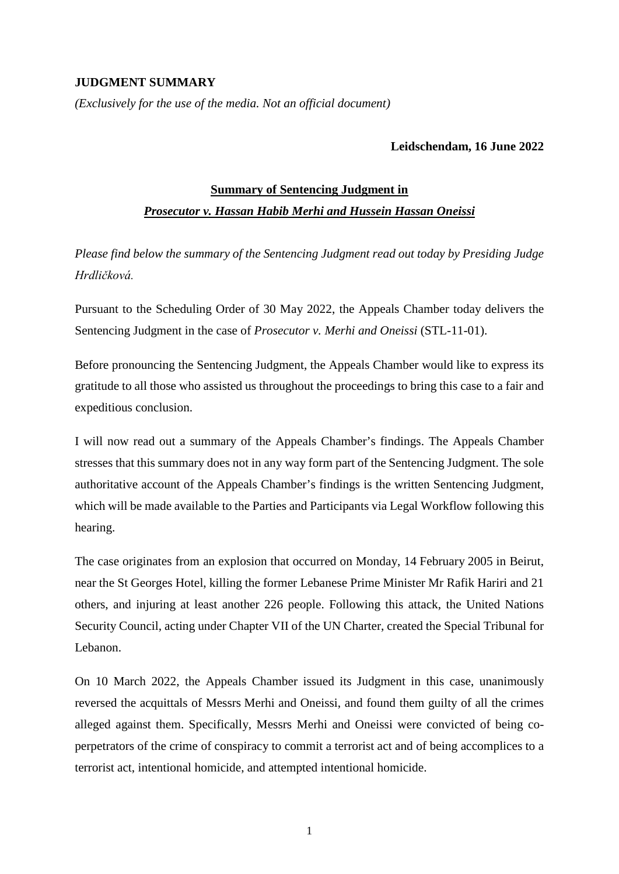## **JUDGMENT SUMMARY**

*(Exclusively for the use of the media. Not an official document)*

## **Leidschendam, 16 June 2022**

## **Summary of Sentencing Judgment in**

## *Prosecutor v. Hassan Habib Merhi and Hussein Hassan Oneissi*

*Please find below the summary of the Sentencing Judgment read out today by Presiding Judge Hrdličková.*

Pursuant to the Scheduling Order of 30 May 2022, the Appeals Chamber today delivers the Sentencing Judgment in the case of *Prosecutor v. Merhi and Oneissi* (STL-11-01).

Before pronouncing the Sentencing Judgment, the Appeals Chamber would like to express its gratitude to all those who assisted us throughout the proceedings to bring this case to a fair and expeditious conclusion.

I will now read out a summary of the Appeals Chamber's findings. The Appeals Chamber stresses that this summary does not in any way form part of the Sentencing Judgment. The sole authoritative account of the Appeals Chamber's findings is the written Sentencing Judgment, which will be made available to the Parties and Participants via Legal Workflow following this hearing.

The case originates from an explosion that occurred on Monday, 14 February 2005 in Beirut, near the St Georges Hotel, killing the former Lebanese Prime Minister Mr Rafik Hariri and 21 others, and injuring at least another 226 people. Following this attack, the United Nations Security Council, acting under Chapter VII of the UN Charter, created the Special Tribunal for Lebanon.

On 10 March 2022, the Appeals Chamber issued its Judgment in this case, unanimously reversed the acquittals of Messrs Merhi and Oneissi, and found them guilty of all the crimes alleged against them. Specifically, Messrs Merhi and Oneissi were convicted of being coperpetrators of the crime of conspiracy to commit a terrorist act and of being accomplices to a terrorist act, intentional homicide, and attempted intentional homicide.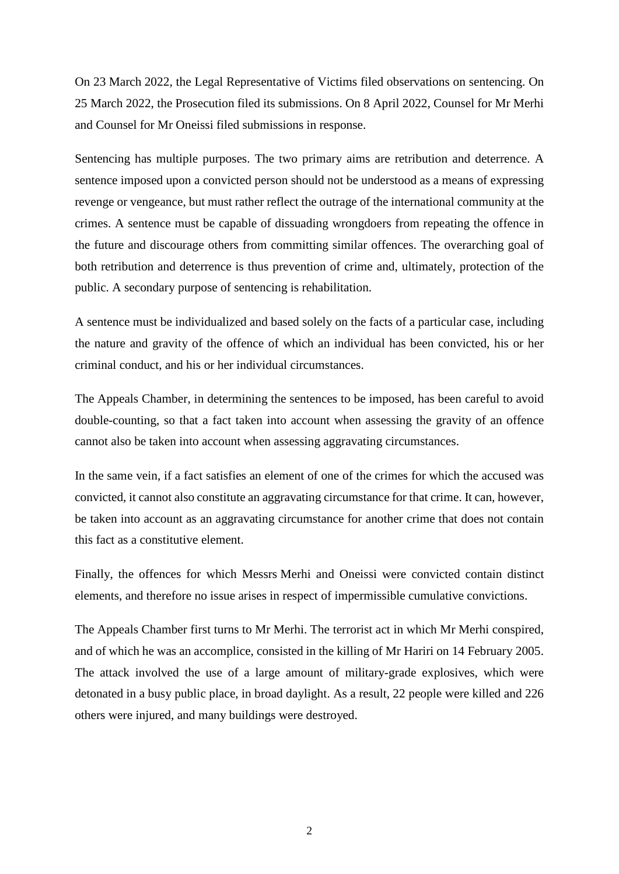On 23 March 2022, the Legal Representative of Victims filed observations on sentencing. On 25 March 2022, the Prosecution filed its submissions. On 8 April 2022, Counsel for Mr Merhi and Counsel for Mr Oneissi filed submissions in response.

Sentencing has multiple purposes. The two primary aims are retribution and deterrence. A sentence imposed upon a convicted person should not be understood as a means of expressing revenge or vengeance, but must rather reflect the outrage of the international community at the crimes. A sentence must be capable of dissuading wrongdoers from repeating the offence in the future and discourage others from committing similar offences. The overarching goal of both retribution and deterrence is thus prevention of crime and, ultimately, protection of the public. A secondary purpose of sentencing is rehabilitation.

A sentence must be individualized and based solely on the facts of a particular case, including the nature and gravity of the offence of which an individual has been convicted, his or her criminal conduct, and his or her individual circumstances.

The Appeals Chamber, in determining the sentences to be imposed, has been careful to avoid double-counting, so that a fact taken into account when assessing the gravity of an offence cannot also be taken into account when assessing aggravating circumstances.

In the same vein, if a fact satisfies an element of one of the crimes for which the accused was convicted, it cannot also constitute an aggravating circumstance for that crime. It can, however, be taken into account as an aggravating circumstance for another crime that does not contain this fact as a constitutive element.

Finally, the offences for which Messrs Merhi and Oneissi were convicted contain distinct elements, and therefore no issue arises in respect of impermissible cumulative convictions.

The Appeals Chamber first turns to Mr Merhi. The terrorist act in which Mr Merhi conspired, and of which he was an accomplice, consisted in the killing of Mr Hariri on 14 February 2005. The attack involved the use of a large amount of military-grade explosives, which were detonated in a busy public place, in broad daylight. As a result, 22 people were killed and 226 others were injured, and many buildings were destroyed.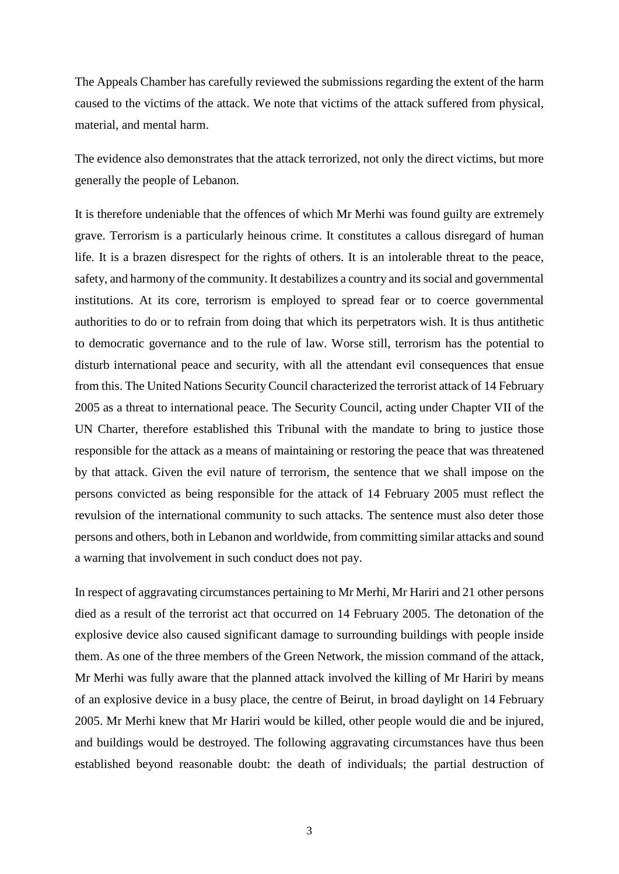The Appeals Chamber has carefully reviewed the submissions regarding the extent of the harm caused to the victims of the attack. We note that victims of the attack suffered from physical, material, and mental harm.

The evidence also demonstrates that the attack terrorized, not only the direct victims, but more generally the people of Lebanon.

It is therefore undeniable that the offences of which Mr Merhi was found guilty are extremely grave. Terrorism is a particularly heinous crime. It constitutes a callous disregard of human life. It is a brazen disrespect for the rights of others. It is an intolerable threat to the peace, safety, and harmony of the community. It destabilizes a country and its social and governmental institutions. At its core, terrorism is employed to spread fear or to coerce governmental authorities to do or to refrain from doing that which its perpetrators wish. It is thus antithetic to democratic governance and to the rule of law. Worse still, terrorism has the potential to disturb international peace and security, with all the attendant evil consequences that ensue from this. The United Nations Security Council characterized the terrorist attack of 14 February 2005 as a threat to international peace. The Security Council, acting under Chapter VII of the UN Charter, therefore established this Tribunal with the mandate to bring to justice those responsible for the attack as a means of maintaining or restoring the peace that was threatened by that attack. Given the evil nature of terrorism, the sentence that we shall impose on the persons convicted as being responsible for the attack of 14 February 2005 must reflect the revulsion of the international community to such attacks. The sentence must also deter those persons and others, both in Lebanon and worldwide, from committing similar attacks and sound a warning that involvement in such conduct does not pay.

In respect of aggravating circumstances pertaining to Mr Merhi, Mr Hariri and 21 other persons died as a result of the terrorist act that occurred on 14 February 2005. The detonation of the explosive device also caused significant damage to surrounding buildings with people inside them. As one of the three members of the Green Network, the mission command of the attack, Mr Merhi was fully aware that the planned attack involved the killing of Mr Hariri by means of an explosive device in a busy place, the centre of Beirut, in broad daylight on 14 February 2005. Mr Merhi knew that Mr Hariri would be killed, other people would die and be injured, and buildings would be destroyed. The following aggravating circumstances have thus been established beyond reasonable doubt: the death of individuals; the partial destruction of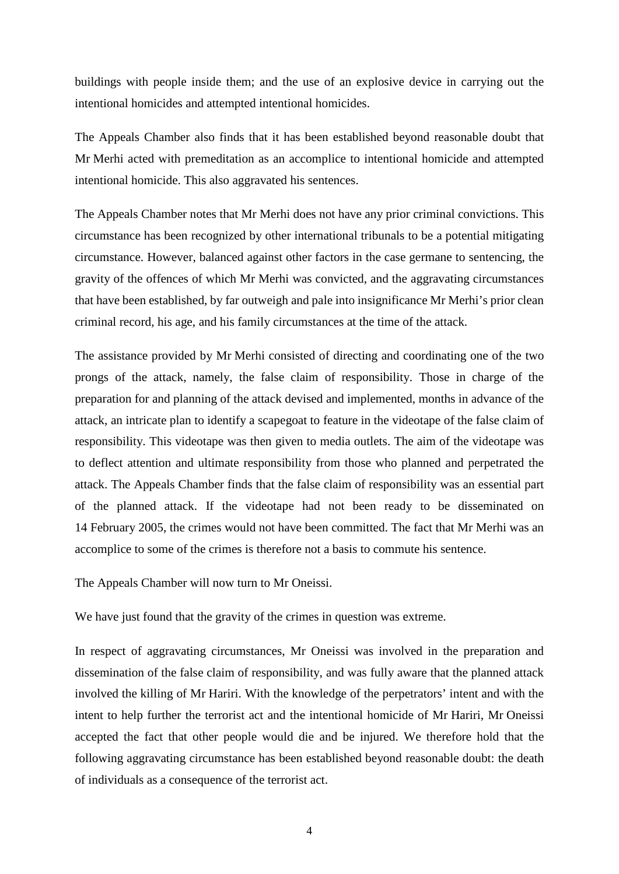buildings with people inside them; and the use of an explosive device in carrying out the intentional homicides and attempted intentional homicides.

The Appeals Chamber also finds that it has been established beyond reasonable doubt that Mr Merhi acted with premeditation as an accomplice to intentional homicide and attempted intentional homicide. This also aggravated his sentences.

The Appeals Chamber notes that Mr Merhi does not have any prior criminal convictions. This circumstance has been recognized by other international tribunals to be a potential mitigating circumstance. However, balanced against other factors in the case germane to sentencing, the gravity of the offences of which Mr Merhi was convicted, and the aggravating circumstances that have been established, by far outweigh and pale into insignificance Mr Merhi's prior clean criminal record, his age, and his family circumstances at the time of the attack.

The assistance provided by Mr Merhi consisted of directing and coordinating one of the two prongs of the attack, namely, the false claim of responsibility. Those in charge of the preparation for and planning of the attack devised and implemented, months in advance of the attack, an intricate plan to identify a scapegoat to feature in the videotape of the false claim of responsibility. This videotape was then given to media outlets. The aim of the videotape was to deflect attention and ultimate responsibility from those who planned and perpetrated the attack. The Appeals Chamber finds that the false claim of responsibility was an essential part of the planned attack. If the videotape had not been ready to be disseminated on 14 February 2005, the crimes would not have been committed. The fact that Mr Merhi was an accomplice to some of the crimes is therefore not a basis to commute his sentence.

The Appeals Chamber will now turn to Mr Oneissi.

We have just found that the gravity of the crimes in question was extreme.

In respect of aggravating circumstances, Mr Oneissi was involved in the preparation and dissemination of the false claim of responsibility, and was fully aware that the planned attack involved the killing of Mr Hariri. With the knowledge of the perpetrators' intent and with the intent to help further the terrorist act and the intentional homicide of Mr Hariri, Mr Oneissi accepted the fact that other people would die and be injured. We therefore hold that the following aggravating circumstance has been established beyond reasonable doubt: the death of individuals as a consequence of the terrorist act.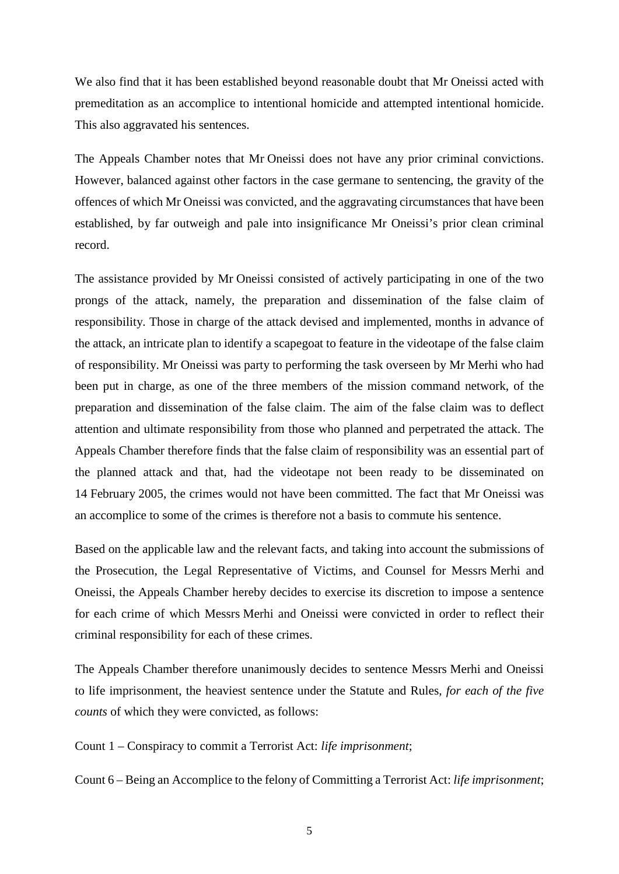We also find that it has been established beyond reasonable doubt that Mr Oneissi acted with premeditation as an accomplice to intentional homicide and attempted intentional homicide. This also aggravated his sentences.

The Appeals Chamber notes that Mr Oneissi does not have any prior criminal convictions. However, balanced against other factors in the case germane to sentencing, the gravity of the offences of which Mr Oneissi was convicted, and the aggravating circumstances that have been established, by far outweigh and pale into insignificance Mr Oneissi's prior clean criminal record.

The assistance provided by Mr Oneissi consisted of actively participating in one of the two prongs of the attack, namely, the preparation and dissemination of the false claim of responsibility. Those in charge of the attack devised and implemented, months in advance of the attack, an intricate plan to identify a scapegoat to feature in the videotape of the false claim of responsibility. Mr Oneissi was party to performing the task overseen by Mr Merhi who had been put in charge, as one of the three members of the mission command network, of the preparation and dissemination of the false claim. The aim of the false claim was to deflect attention and ultimate responsibility from those who planned and perpetrated the attack. The Appeals Chamber therefore finds that the false claim of responsibility was an essential part of the planned attack and that, had the videotape not been ready to be disseminated on 14 February 2005, the crimes would not have been committed. The fact that Mr Oneissi was an accomplice to some of the crimes is therefore not a basis to commute his sentence.

Based on the applicable law and the relevant facts, and taking into account the submissions of the Prosecution, the Legal Representative of Victims, and Counsel for Messrs Merhi and Oneissi, the Appeals Chamber hereby decides to exercise its discretion to impose a sentence for each crime of which Messrs Merhi and Oneissi were convicted in order to reflect their criminal responsibility for each of these crimes.

The Appeals Chamber therefore unanimously decides to sentence Messrs Merhi and Oneissi to life imprisonment, the heaviest sentence under the Statute and Rules, *for each of the five counts* of which they were convicted, as follows:

Count 1 – Conspiracy to commit a Terrorist Act: *life imprisonment*;

Count 6 – Being an Accomplice to the felony of Committing a Terrorist Act: *life imprisonment*;